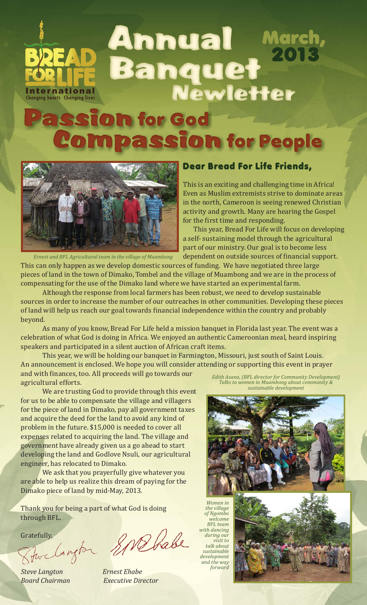

# SSIO**h** for God Compassion for People



### Dear Bread For Life Friends,

This is an exciting and challenging time in Africa! Even as Muslim extremists strive to dominate areas in the north, Cameroon is seeing renewed Christian activity and growth. Many are hearing the Gospel for the first time and responding.

This year, Bread For Life will focus on developing a self- sustaining model through the agricultural part of our ministry. Our goal is to become less dependent on outside sources of financial support.

*Ernest and BFL Agricultural team in the village of Muambong*

This can only happen as we develop domestic sources of funding. We have negotiated three large pieces of land in the town of Dimako, Tombel and the village of Muambong and we are in the process of compensating for the use of the Dimako land where we have started an experimental farm.

Although the response from local farmers has been robust, we need to develop sustainable sources in order to increase the number of our outreaches in other communities. Developing these pieces of land will help us reach our goal towards financial independence within the country and probably beyond.

As many of you know, Bread For Life held a mission banquet in Florida last year. The event was a celebration of what God is doing in Africa. We enjoyed an authentic Cameroonian meal, heard inspiring speakers and participated in a silent auction of African craft items.

This year, we will be holding our banquet in Farmington, Missouri, just south of Saint Louis. An announcement is enclosed. We hope you will consider attending or supporting this event in prayer and with finances, too. All proceeds will go towards our agricultural efforts.

We are trusting God to provide through this event for us to be able to compensate the village and villagers for the piece of land in Dimako, pay all government taxes and acquire the deed for the land to avoid any kind of problem in the future. \$15,000 is needed to cover all expenses related to acquiring the land. The village and government have already given us a go ahead to start developing the land and Godlove Nsuli, our agricultural engineer, has relocated to Dimako.

We ask that you prayerfully give whatever you are able to help us realize this dream of paying for the Dimako piece of land by mid-May, 2013.

Thank you for being a part of what God is doing through BFL.

Gratefully,

*Steve Langton Ernest Ehabe*

*Board Chairman Executive Director*

*Edith Asana, (BFL director for Community Development) Talks to women in Muambong about community & sustainable development*



*Women in the village of Ngombo welcome BFL team with dancing during our visit to talk about sustainable development and the way forward*